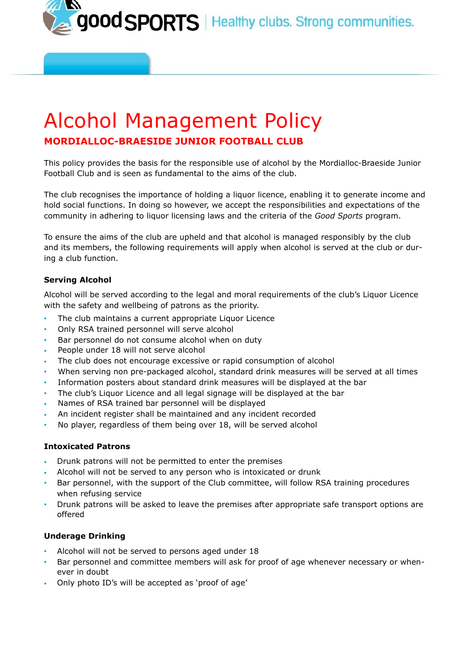good SPORTS | Healthy clubs. Strong communities.

# Alcohol Management Policy **MORDIALLOC-BRAESIDE JUNIOR FOOTBALL CLUB**

This policy provides the basis for the responsible use of alcohol by the Mordialloc-Braeside Junior Football Club and is seen as fundamental to the aims of the club.

The club recognises the importance of holding a liquor licence, enabling it to generate income and hold social functions. In doing so however, we accept the responsibilities and expectations of the community in adhering to liquor licensing laws and the criteria of the *Good Sports* program.

To ensure the aims of the club are upheld and that alcohol is managed responsibly by the club and its members, the following requirements will apply when alcohol is served at the club or during a club function.

# **Serving Alcohol**

Alcohol will be served according to the legal and moral requirements of the club's Liquor Licence with the safety and wellbeing of patrons as the priority.

- The club maintains a current appropriate Liquor Licence
- Only RSA trained personnel will serve alcohol
- Bar personnel do not consume alcohol when on duty
- People under 18 will not serve alcohol
- The club does not encourage excessive or rapid consumption of alcohol
- When serving non pre-packaged alcohol, standard drink measures will be served at all times
- Information posters about standard drink measures will be displayed at the bar
- The club's Liquor Licence and all legal signage will be displayed at the bar
- Names of RSA trained bar personnel will be displayed
- An incident register shall be maintained and any incident recorded
- No player, regardless of them being over 18, will be served alcohol

#### **Intoxicated Patrons**

- Drunk patrons will not be permitted to enter the premises
- Alcohol will not be served to any person who is intoxicated or drunk
- Bar personnel, with the support of the Club committee, will follow RSA training procedures when refusing service
- Drunk patrons will be asked to leave the premises after appropriate safe transport options are offered

# **Underage Drinking**

- Alcohol will not be served to persons aged under 18
- Bar personnel and committee members will ask for proof of age whenever necessary or whenever in doubt
- Only photo ID's will be accepted as 'proof of age'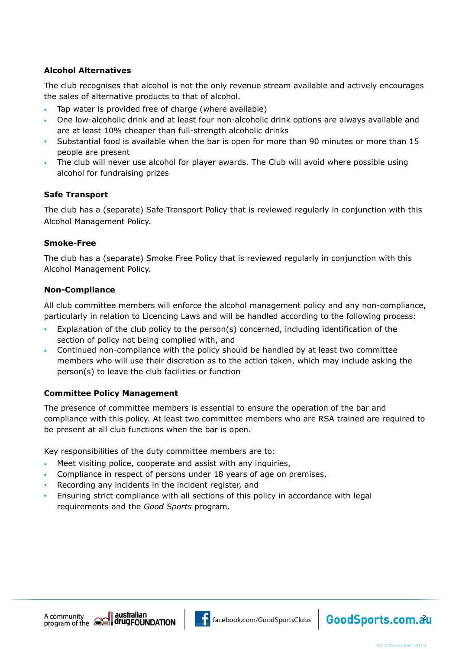# **Alcohol Alternatives**

The club recognises that alcohol is not the only revenue stream available and actively encourages the sales of alternative products to that of alcohol.

- Tap water is provided free of charge (where available)
- One low-alcoholic drink and at least four non-alcoholic drink options are always available and are at least 10% cheaper than full-strength alcoholic drinks
- Substantial food is available when the bar is open for more than 90 minutes or more than 15 people are present
- The club will never use alcohol for player awards. The Club will avoid where possible using alcohol for fundraising prizes

# **Safe Transport**

The club has a (separate) Safe Transport Policy that is reviewed regularly in conjunction with this Alcohol Management Policy.

#### **Smoke-Free**

The club has a (separate) Smoke Free Policy that is reviewed regularly in conjunction with this Alcohol Management Policy.

#### **Non-Compliance**

All club committee members will enforce the alcohol management policy and any non-compliance, particularly in relation to Licencing Laws and will be handled according to the following process:

- Explanation of the club policy to the person(s) concerned, including identification of the section of policy not being complied with, and
- Continued non-compliance with the policy should be handled by at least two committee members who will use their discretion as to the action taken, which may include asking the person(s) to leave the club facilities or function

#### **Committee Policy Management**

The presence of committee members is essential to ensure the operation of the bar and compliance with this policy. At least two committee members who are RSA trained are required to be present at all club functions when the bar is open.

Key responsibilities of the duty committee members are to:

- Meet visiting police, cooperate and assist with any inquiries,
- Compliance in respect of persons under 18 years of age on premises,
- Recording any incidents in the incident register, and
- Ensuring strict compliance with all sections of this policy in accordance with legal requirements and the *Good Sports* program.